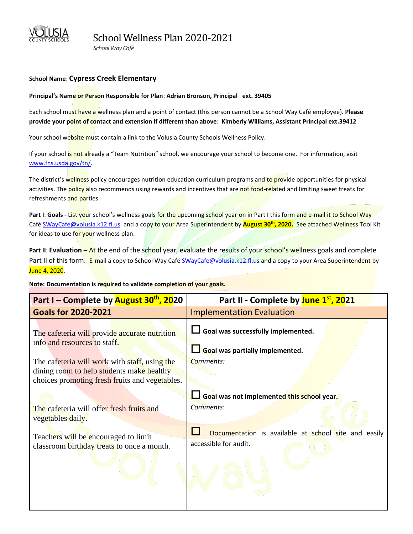

 *School Way Café* 

## **School Name**: **Cypress Creek Elementary**

## **Principal's Name or Person Responsible for Plan**: **Adrian Bronson, Principal ext. 39405**

Each school must have a wellness plan and a point of contact (this person cannot be a School Way Café employee). **Please provide your point of contact and extension if different than above**: **Kimberly Williams, Assistant Principal ext.39412**

Your school website must contain a link to the Volusia County Schools Wellness Policy.

If your school is not already a "Team Nutrition" school, we encourage your school to become one. For information, visit [www.fns.usda.gov/tn/.](http://www.fns.usda.gov/tn/)

The district's wellness policy encourages nutrition education curriculum programs and to provide opportunities for physical activities. The policy also recommends using rewards and incentives that are not food-related and limiting sweet treats for refreshments and parties.

Part I: Goals - List your school's wellness goals for the upcoming school year on in Part I this form and e-mail it to School Way Caf[é SWayCafe@volusia.k12.fl.us](mailto:SchoolWayCafe@volusia.k12.fl.us) and a copy to your Area Superintendent by **August 30th, 2020.** See attached Wellness Tool Kit for ideas to use for your wellness plan.

**Part II: Evaluation – At** the end of the school year, evaluate the results of your school's wellness goals and complete Part II of this form. E-mail a copy to School Way Café [SWayCafe@volusia.k12.fl.us](mailto:SWayCafe@volusia.k12.fl.us) and a copy to your Area Superintendent by June 4, 2020.

**Note: Documentation is required to validate completion of your goals.** 

| Part I – Complete by August 30 <sup>th</sup> , 2020                                                                                                                                                                                                                        | Part II - Complete by June 1st, 2021                                                                                                                 |
|----------------------------------------------------------------------------------------------------------------------------------------------------------------------------------------------------------------------------------------------------------------------------|------------------------------------------------------------------------------------------------------------------------------------------------------|
| <b>Goals for 2020-2021</b>                                                                                                                                                                                                                                                 | <b>Implementation Evaluation</b>                                                                                                                     |
| The cafeteria will provide accurate nutrition<br>info and resources to staff.<br>The cafeteria will work with staff, using the<br>dining room to help students make healthy<br>choices promoting fresh fruits and vegetables.<br>The cafeteria will offer fresh fruits and | $\Box$ Goal was successfully implemented.<br>Goal was partially implemented.<br>Comments:<br>Goal was not implemented this school year.<br>Comments: |
| vegetables daily.<br>Teachers will be encouraged to limit<br>classroom birthday treats to once a month.                                                                                                                                                                    | Documentation is available at school site and easily<br>accessible for audit.                                                                        |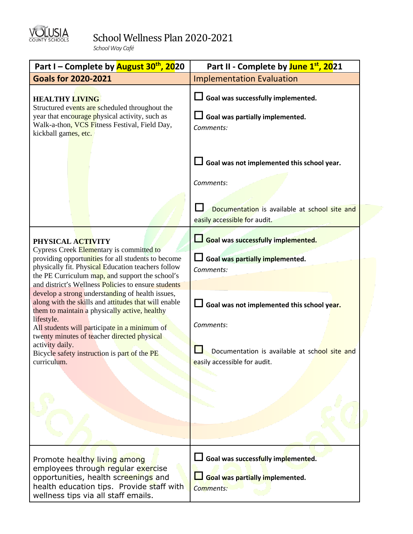

## School Wellness Plan 2020-2021

 *School Way Café* 

| Part I – Complete by <b>August 30<sup>th</sup>, 20</b> 20                                                                                                                                                                                                               | Part II - Complete by June 1 <sup>st</sup> , 2021                                  |
|-------------------------------------------------------------------------------------------------------------------------------------------------------------------------------------------------------------------------------------------------------------------------|------------------------------------------------------------------------------------|
| <b>Goals for 2020-2021</b>                                                                                                                                                                                                                                              | <b>Implementation Evaluation</b>                                                   |
| <b>HEALTHY LIVING</b><br>Structured events are scheduled throughout the<br>year that encourage physical activity, such as<br>Walk-a-thon, VCS Fitness Festival, Field Day,<br>kickball games, etc.                                                                      | Goal was successfully implemented.<br>Goal was partially implemented.<br>Comments: |
|                                                                                                                                                                                                                                                                         | Goal was not implemented this school year.<br>Comments:                            |
|                                                                                                                                                                                                                                                                         | Documentation is available at school site and<br>easily accessible for audit.      |
| PHYSICAL ACTIVITY<br>Cypress Creek Elementary is committed to                                                                                                                                                                                                           | Goal was successfully implemented.                                                 |
| providing opportunities for all students to become<br>physically fit. Physical Education teachers follow<br>the PE Curriculum map, and support the school's                                                                                                             | Goal was partially implemented.<br>Comments:                                       |
| and district's Wellness Policies to ensure students                                                                                                                                                                                                                     |                                                                                    |
| develop a strong understanding of health issues,<br>along with the skills and attitudes that will enable<br>them to maintain a physically active, healthy<br>lifestyle.<br>All students will participate in a minimum of<br>twenty minutes of teacher directed physical | $\Box$ Goal was not implemented this school year.<br>Comments:                     |
| activity daily.<br>Bicycle safety instruction is part of the PE<br>curriculum.                                                                                                                                                                                          | Documentation is available at school site and<br>easily accessible for audit.      |
|                                                                                                                                                                                                                                                                         |                                                                                    |
|                                                                                                                                                                                                                                                                         |                                                                                    |
|                                                                                                                                                                                                                                                                         |                                                                                    |
| Promote healthy living among<br>employees through regular exercise<br>opportunities, health screenings and<br>health education tips. Provide staff with<br>wellness tips via all staff emails.                                                                          | Goal was successfully implemented.<br>Goal was partially implemented.<br>Comments: |